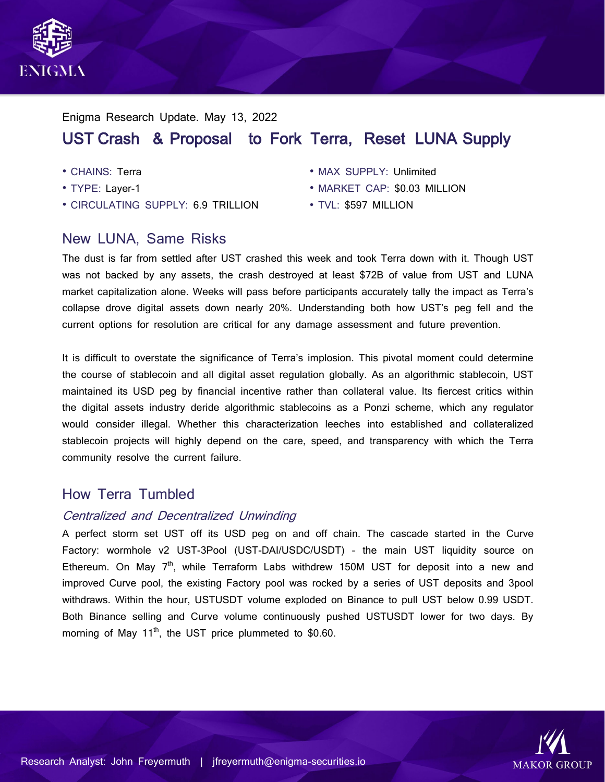

# Enigma Research Update. May 13, 2022 UST Crash & Proposal to Fork Terra, Reset LUNA Supply

- CHAINS: Terra
- TYPE: Layer-1
- CIRCULATING SUPPLY: 6.9 TRILLION
- MAX SUPPLY: Unlimited
- MARKET CAP: \$0.03 MILLION
- TVL: \$597 MILLION

## New LUNA, Same Risks

The dust is far from settled after UST crashed this week and took Terra down with it. Though UST was not backed by any assets, the crash destroyed at least \$72B of value from UST and LUNA market capitalization alone. Weeks will pass before participants accurately tally the impact as Terra's collapse drove digital assets down nearly 20%. Understanding both how UST's peg fell and the current options for resolution are critical for any damage assessment and future prevention.

It is difficult to overstate the significance of Terra's implosion. This pivotal moment could determine the course of stablecoin and all digital asset regulation globally. As an algorithmic stablecoin, UST maintained its USD peg by financial incentive rather than collateral value. Its fiercest critics within the digital assets industry deride algorithmic stablecoins as a Ponzi scheme, which any regulator would consider illegal. Whether this characterization leeches into established and collateralized stablecoin projects will highly depend on the care, speed, and transparency with which the Terra community resolve the current failure.

## How Terra Tumbled

### Centralized and Decentralized Unwinding

A perfect storm set UST off its USD peg on and off chain. The cascade started in the Curve Factory: wormhole v2 UST-3Pool (UST-DAI/USDC/USDT) – the main UST liquidity source on Ethereum. On May  $7<sup>th</sup>$ , while Terraform Labs withdrew 150M UST for deposit into a new and improved Curve pool, the existing Factory pool was rocked by a series of UST deposits and 3pool withdraws. Within the hour, USTUSDT volume exploded on Binance to pull UST below 0.99 USDT. Both Binance selling and Curve volume continuously pushed USTUSDT lower for two days. By morning of May  $11<sup>th</sup>$ , the UST price plummeted to \$0.60.

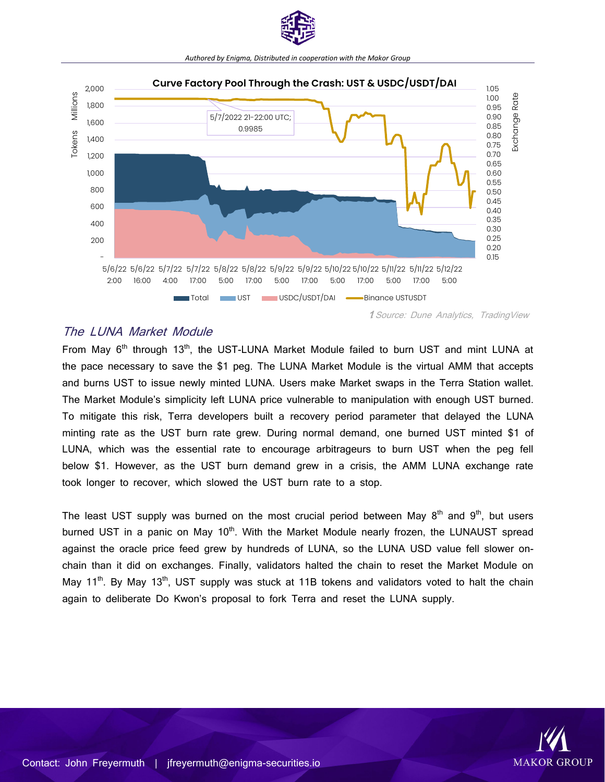

## *Authored by Enigma, Distributed in cooperation with the Makor Group*



### The LUNA Market Module

From Mav 6<sup>th</sup> through 13<sup>th</sup>, the UST-LUNA Market Module failed to burn UST and mint LUNA at the pace necessary to save the \$1 peg. The LUNA Market Module is the virtual AMM that accepts and burns UST to issue newly minted LUNA. Users make Market swaps in the Terra Station wallet. The Market Module's simplicity left LUNA price vulnerable to manipulation with enough UST burned. To mitigate this risk, Terra developers built a recovery period parameter that delayed the LUNA minting rate as the UST burn rate grew. During normal demand, one burned UST minted \$1 of LUNA, which was the essential rate to encourage arbitrageurs to burn UST when the peg fell below \$1. However, as the UST burn demand grew in a crisis, the AMM LUNA exchange rate took longer to recover, which slowed the UST burn rate to a stop.

The least UST supply was burned on the most crucial period between May  $8<sup>th</sup>$  and  $9<sup>th</sup>$ , but users burned UST in a panic on May 10<sup>th</sup>. With the Market Module nearly frozen, the LUNAUST spread against the oracle price feed grew by hundreds of LUNA, so the LUNA USD value fell slower onchain than it did on exchanges. Finally, validators halted the chain to reset the Market Module on May  $11<sup>th</sup>$ . By May  $13<sup>th</sup>$ , UST supply was stuck at 11B tokens and validators voted to halt the chain again to deliberate Do Kwon's proposal to fork Terra and reset the LUNA supply.

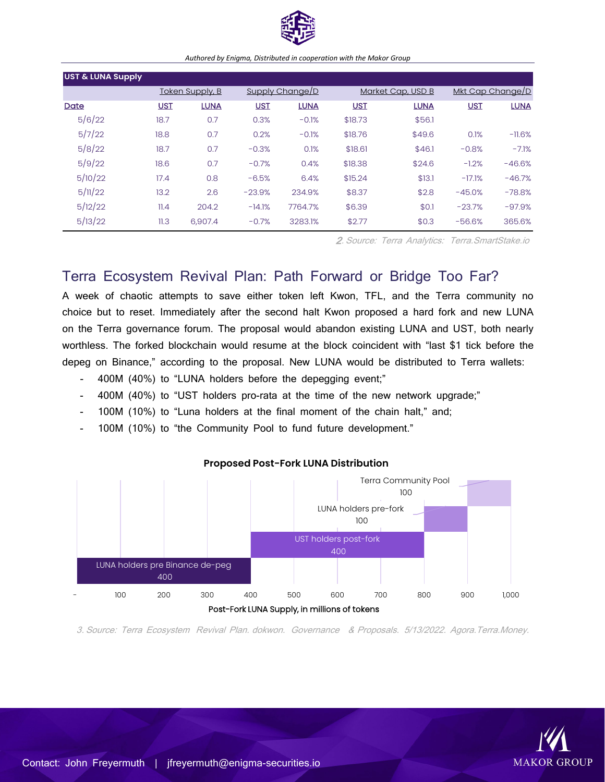

#### *Authored by Enigma, Distributed in cooperation with the Makor Group*

| <b>UST &amp; LUNA Supply</b> |      |                 |            |                        |            |                   |          |                  |  |
|------------------------------|------|-----------------|------------|------------------------|------------|-------------------|----------|------------------|--|
|                              |      | Token Supply, B |            | <b>Supply Change/D</b> |            | Market Cap, USD B |          | Mkt Cap Change/D |  |
| Date                         | UST  | <b>LUNA</b>     | <b>UST</b> | <b>LUNA</b>            | <b>UST</b> | <b>LUNA</b>       | UST      | <b>LUNA</b>      |  |
| 5/6/22                       | 18.7 | 0.7             | 0.3%       | $-0.1%$                | \$18.73    | \$56.1            |          |                  |  |
| 5/7/22                       | 18.8 | 0.7             | 0.2%       | $-0.1%$                | \$18.76    | \$49.6            | 0.1%     | $-11.6%$         |  |
| 5/8/22                       | 18.7 | 0.7             | $-0.3%$    | 0.1%                   | \$18.61    | \$46.1            | $-0.8%$  | $-7.1%$          |  |
| 5/9/22                       | 18.6 | 0.7             | $-0.7%$    | 0.4%                   | \$18.38    | \$24.6            | $-1.2%$  | $-46.6%$         |  |
| 5/10/22                      | 17.4 | 0.8             | $-6.5%$    | 6.4%                   | \$15.24    | \$13.1            | $-17.1%$ | $-46.7%$         |  |
| 5/11/22                      | 13.2 | 2.6             | $-23.9%$   | 234.9%                 | \$8.37     | \$2.8             | $-45.0%$ | $-78.8%$         |  |
| 5/12/22                      | 11.4 | 204.2           | $-14.1%$   | 7764.7%                | \$6.39     | \$0.1             | $-23.7%$ | $-97.9%$         |  |
| 5/13/22                      | 11.3 | 6,907.4         | $-0.7%$    | 3283.1%                | \$2.77     | \$0.3             | $-56.6%$ | 365.6%           |  |

2. Source: Terra Analytics: Terra.SmartStake.io

## Terra Ecosystem Revival Plan: Path Forward or Bridge Too Far?

A week of chaotic attempts to save either token left Kwon, TFL, and the Terra community no choice but to reset. Immediately after the second halt Kwon proposed a hard fork and new LUNA on the Terra governance forum. The proposal would abandon existing LUNA and UST, both nearly worthless. The forked blockchain would resume at the block coincident with "last \$1 tick before the depeg on Binance," according to the proposal. New LUNA would be distributed to Terra wallets:

- 400M (40%) to "LUNA holders before the depegging event;"
- 400M (40%) to "UST holders pro-rata at the time of the new network upgrade;"
- 100M (10%) to "Luna holders at the final moment of the chain halt," and;
- 100M (10%) to "the Community Pool to fund future development."



#### **Proposed Post-Fork LUNA Distribution**

3. Source: Terra Ecosystem Revival Plan. dokwon. Governance & Proposals. 5/13/2022. Agora.Terra.Money.

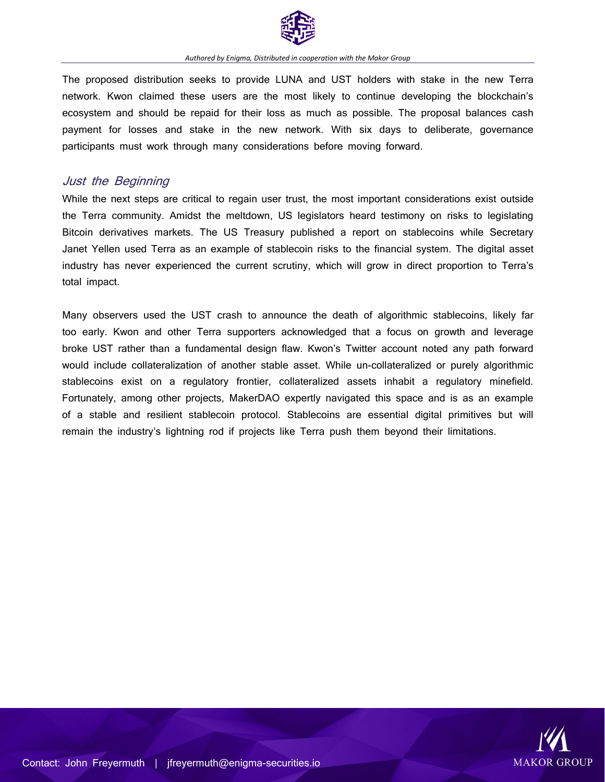

The proposed distribution seeks to provide LUNA and UST holders with stake in the new Terra network. Kwon claimed these users are the most likely to continue developing the blockchain's ecosystem and should be repaid for their loss as much as possible. The proposal balances cash payment for losses and stake in the new network. With six days to deliberate, governance participants must work through many considerations before moving forward.

### Just the Beginning

While the next steps are critical to regain user trust, the most important considerations exist outside the Terra community. Amidst the meltdown, US legislators heard testimony on risks to legislating Bitcoin derivatives markets. The US Treasury published a report on stablecoins while Secretary Janet Yellen used Terra as an example of stablecoin risks to the financial system. The digital asset industry has never experienced the current scrutiny, which will grow in direct proportion to Terra's total impact.

Many observers used the UST crash to announce the death of algorithmic stablecoins, likely far too early. Kwon and other Terra supporters acknowledged that a focus on growth and leverage broke UST rather than a fundamental design flaw. Kwon's Twitter account noted any path forward would include collateralization of another stable asset. While un-collateralized or purely algorithmic stablecoins exist on a regulatory frontier, collateralized assets inhabit a regulatory minefield. Fortunately, among other projects, MakerDAO expertly navigated this space and is as an example of a stable and resilient stablecoin protocol. Stablecoins are essential digital primitives but will remain the industry's lightning rod if projects like Terra push them beyond their limitations.